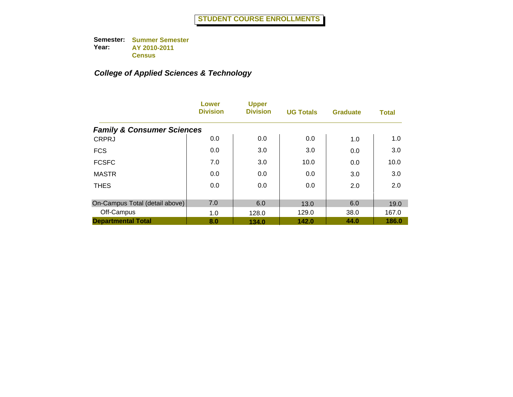|                                       | Lower<br><b>Division</b> | <b>Upper</b><br><b>Division</b> | <b>UG Totals</b> | <b>Graduate</b> | <b>Total</b> |
|---------------------------------------|--------------------------|---------------------------------|------------------|-----------------|--------------|
| <b>Family &amp; Consumer Sciences</b> |                          |                                 |                  |                 |              |
| <b>CRPRJ</b>                          | 0.0                      | 0.0                             | 0.0              | 1.0             | 1.0          |
| <b>FCS</b>                            | 0.0                      | 3.0                             | 3.0              | 0.0             | 3.0          |
| <b>FCSFC</b>                          | 7.0                      | 3.0                             | 10.0             | 0.0             | 10.0         |
| <b>MASTR</b>                          | 0.0                      | 0.0                             | 0.0              | 3.0             | 3.0          |
| <b>THES</b>                           | 0.0                      | 0.0                             | 0.0              | 2.0             | 2.0          |
| On-Campus Total (detail above)        | 7.0                      | 6.0                             | 13.0             | 6.0             | 19.0         |
| Off-Campus                            | 1.0                      | 128.0                           | 129.0            | 38.0            | 167.0        |
| <b>Departmental Total</b>             | 8.0                      | 134.0                           | 142.0            | 44.0            | 186.0        |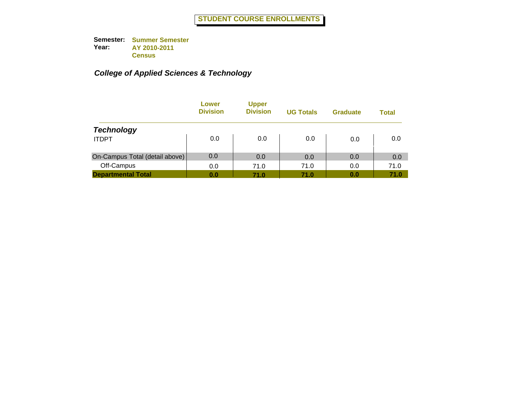|                                | Lower<br><b>Division</b> | <b>Upper</b><br><b>Division</b> | <b>UG Totals</b> | <b>Graduate</b> | Total |
|--------------------------------|--------------------------|---------------------------------|------------------|-----------------|-------|
| <b>Technology</b>              |                          |                                 |                  |                 |       |
| <b>ITDPT</b>                   | 0.0                      | 0.0                             | 0.0              | 0.0             | 0.0   |
| On-Campus Total (detail above) | 0.0                      | 0.0                             | 0.0              | 0.0             | 0.0   |
| Off-Campus                     | 0.0                      | 71.0                            | 71.0             | 0.0             | 71.0  |
| <b>Departmental Total</b>      | 0.0                      | 71.0                            | 71.0             | 0.0             | 71.0  |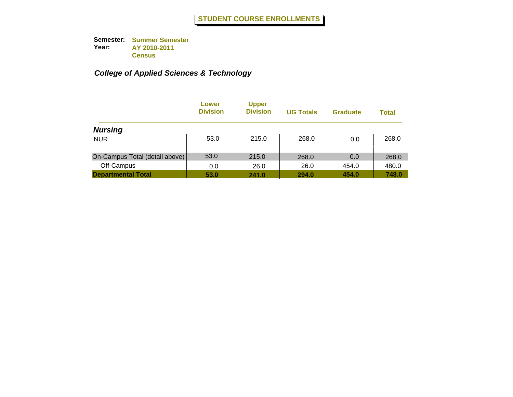|                                | Lower<br><b>Division</b> | <b>Upper</b><br><b>Division</b> | <b>UG Totals</b> | <b>Graduate</b> | Total |
|--------------------------------|--------------------------|---------------------------------|------------------|-----------------|-------|
| <b>Nursing</b>                 |                          |                                 |                  |                 |       |
| <b>NUR</b>                     | 53.0                     | 215.0                           | 268.0            | 0.0             | 268.0 |
| On-Campus Total (detail above) | 53.0                     | 215.0                           | 268.0            | 0.0             | 268.0 |
| Off-Campus                     | 0.0                      | 26.0                            | 26.0             | 454.0           | 480.0 |
| <b>Departmental Total</b>      | 53.0                     | 241.0                           | 294.0            | 454.0           | 748.0 |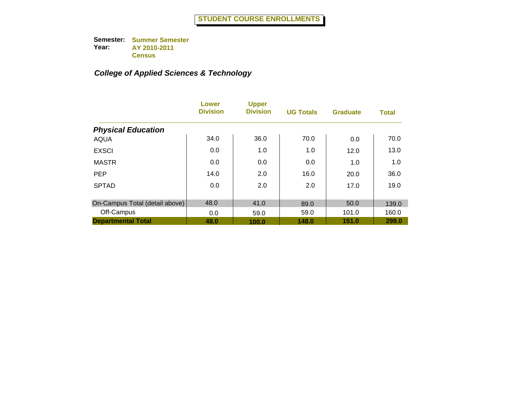|                                | Lower<br><b>Division</b> | <b>Upper</b><br><b>Division</b> | <b>UG Totals</b> | <b>Graduate</b> | <b>Total</b> |
|--------------------------------|--------------------------|---------------------------------|------------------|-----------------|--------------|
| <b>Physical Education</b>      |                          |                                 |                  |                 |              |
| <b>AQUA</b>                    | 34.0                     | 36.0                            | 70.0             | 0.0             | 70.0         |
| <b>EXSCI</b>                   | 0.0                      | 1.0                             | 1.0              | 12.0            | 13.0         |
| <b>MASTR</b>                   | 0.0                      | 0.0                             | 0.0              | 1.0             | 1.0          |
| <b>PEP</b>                     | 14.0                     | 2.0                             | 16.0             | 20.0            | 36.0         |
| <b>SPTAD</b>                   | 0.0                      | 2.0                             | 2.0              | 17.0            | 19.0         |
| On-Campus Total (detail above) | 48.0                     | 41.0                            | 89.0             | 50.0            | 139.0        |
| Off-Campus                     | 0.0                      | 59.0                            | 59.0             | 101.0           | 160.0        |
| <b>Departmental Total</b>      | 48.0                     | 100.0                           | 148.0            | 151.0           | 299.0        |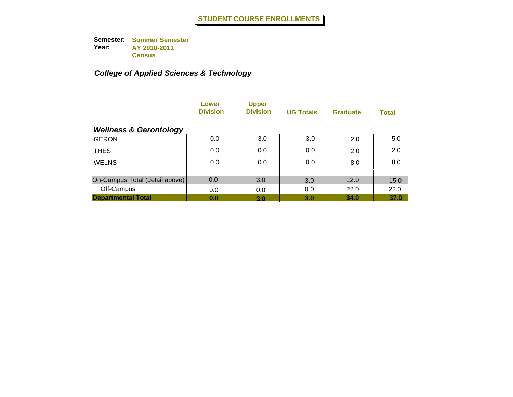|                                   | Lower<br><b>Division</b> | <b>Upper</b><br><b>Division</b> | <b>UG Totals</b> | <b>Graduate</b> | <b>Total</b> |
|-----------------------------------|--------------------------|---------------------------------|------------------|-----------------|--------------|
| <b>Wellness &amp; Gerontology</b> |                          |                                 |                  |                 |              |
| <b>GERON</b>                      | 0.0                      | 3.0                             | 3.0              | 2.0             | 5.0          |
| <b>THES</b>                       | 0.0                      | 0.0                             | 0.0              | 2.0             | 2.0          |
| <b>WELNS</b>                      | 0.0                      | 0.0                             | 0.0              | 8.0             | 8.0          |
| On-Campus Total (detail above)    | 0.0                      | 3.0                             | 3.0              | 12.0            | 15.0         |
| Off-Campus                        | 0.0                      | 0.0                             | 0.0              | 22.0            | 22.0         |
| <b>Departmental Total</b>         | 0.0                      | 3.0                             | 3.0              | 34.0            | 37.0         |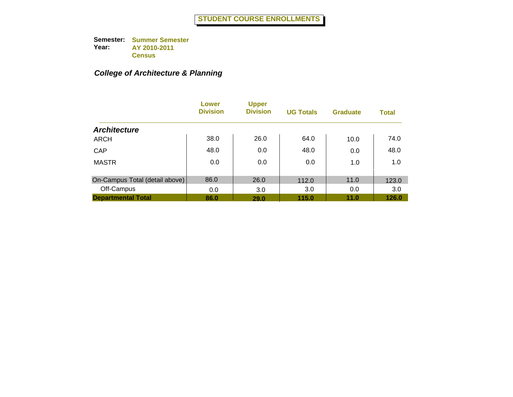## *College of Architecture & Planning*

|                                | Lower<br><b>Division</b> | <b>Upper</b><br><b>Division</b> | <b>UG Totals</b> | <b>Graduate</b> | <b>Total</b> |
|--------------------------------|--------------------------|---------------------------------|------------------|-----------------|--------------|
| <b>Architecture</b>            |                          |                                 |                  |                 |              |
| <b>ARCH</b>                    | 38.0                     | 26.0                            | 64.0             | 10.0            | 74.0         |
| CAP                            | 48.0                     | 0.0                             | 48.0             | 0.0             | 48.0         |
| <b>MASTR</b>                   | 0.0                      | 0.0                             | 0.0              | 1.0             | 1.0          |
| On-Campus Total (detail above) | 86.0                     | 26.0                            | 112.0            | 11.0            | 123.0        |
| Off-Campus                     | 0.0                      | 3.0                             | 3.0              | 0.0             | 3.0          |
| <b>Departmental Total</b>      | 86.0                     | 29.0                            | 115.0            | 11.0            | 126.0        |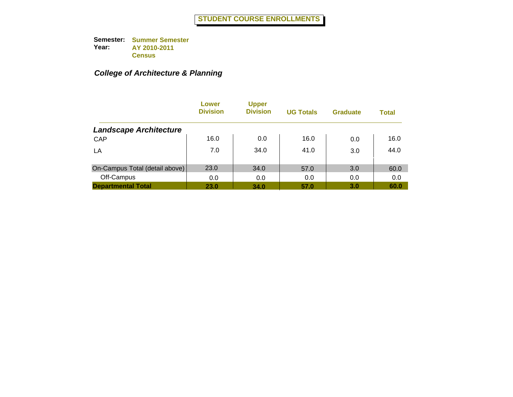# *College of Architecture & Planning*

|                                | Lower<br><b>Division</b> | <b>Upper</b><br><b>Division</b> | <b>UG Totals</b> | <b>Graduate</b> | <b>Total</b> |
|--------------------------------|--------------------------|---------------------------------|------------------|-----------------|--------------|
| <b>Landscape Architecture</b>  |                          |                                 |                  |                 |              |
| CAP                            | 16.0                     | 0.0                             | 16.0             | 0.0             | 16.0         |
| LA                             | 7.0                      | 34.0                            | 41.0             | 3.0             | 44.0         |
| On-Campus Total (detail above) | 23.0                     | 34.0                            | 57.0             | 3.0             | 60.0         |
| Off-Campus                     | 0.0                      | 0.0                             | 0.0              | 0.0             | 0.0          |
| <b>Departmental Total</b>      | 23.0                     | 34.0                            | 57.0             | 3.0             | 60.0         |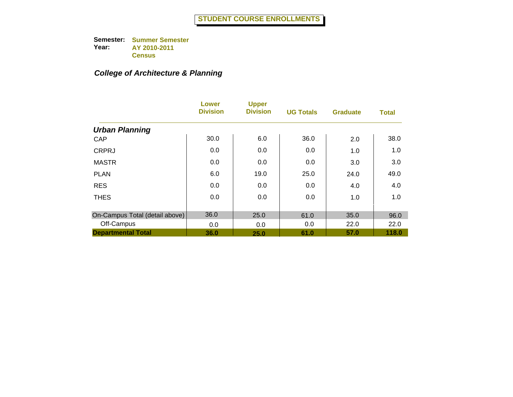## *College of Architecture & Planning*

|                                | Lower<br><b>Division</b> | <b>Upper</b><br><b>Division</b> | <b>UG Totals</b> | <b>Graduate</b> | <b>Total</b> |
|--------------------------------|--------------------------|---------------------------------|------------------|-----------------|--------------|
| <b>Urban Planning</b>          |                          |                                 |                  |                 |              |
| CAP                            | 30.0                     | 6.0                             | 36.0             | 2.0             | 38.0         |
| <b>CRPRJ</b>                   | 0.0                      | 0.0                             | 0.0              | 1.0             | 1.0          |
| <b>MASTR</b>                   | 0.0                      | 0.0                             | 0.0              | 3.0             | 3.0          |
| <b>PLAN</b>                    | 6.0                      | 19.0                            | 25.0             | 24.0            | 49.0         |
| <b>RES</b>                     | 0.0                      | 0.0                             | 0.0              | 4.0             | 4.0          |
| <b>THES</b>                    | 0.0                      | 0.0                             | 0.0              | 1.0             | 1.0          |
| On-Campus Total (detail above) | 36.0                     | 25.0                            | 61.0             | 35.0            | 96.0         |
| Off-Campus                     | 0.0                      | 0.0                             | 0.0              | 22.0            | 22.0         |
| <b>Departmental Total</b>      | 36.0                     | 25.0                            | 61.0             | 57.0            | 118.0        |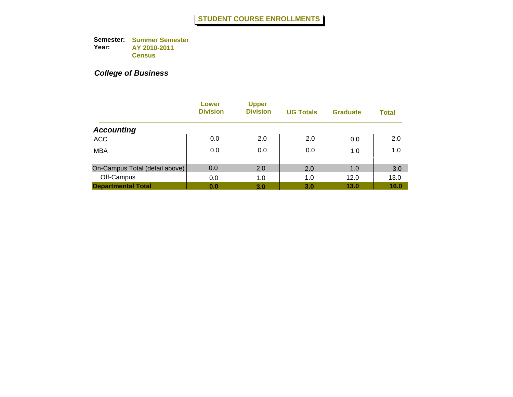|                                | Lower<br><b>Division</b> | <b>Upper</b><br><b>Division</b> | <b>UG Totals</b> | <b>Graduate</b> | <b>Total</b> |
|--------------------------------|--------------------------|---------------------------------|------------------|-----------------|--------------|
| <b>Accounting</b>              |                          |                                 |                  |                 |              |
| <b>ACC</b>                     | 0.0                      | 2.0                             | 2.0              | 0.0             | 2.0          |
| <b>MBA</b>                     | 0.0                      | 0.0                             | 0.0              | 1.0             | 1.0          |
| On-Campus Total (detail above) | 0.0                      | 2.0                             | 2.0              | 1.0             | 3.0          |
| Off-Campus                     | 0.0                      | 1.0                             | 1.0              | 12.0            | 13.0         |
| <b>Departmental Total</b>      | 0.0                      | 3.0                             | 3.0              | 13.0            | 16.0         |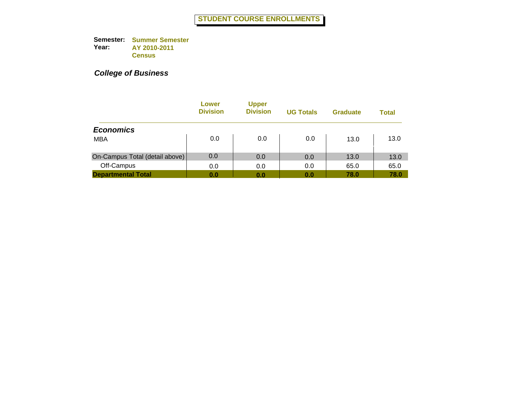|                                | Lower<br><b>Division</b> | <b>Upper</b><br><b>Division</b> | <b>UG Totals</b> | <b>Graduate</b> | <b>Total</b> |
|--------------------------------|--------------------------|---------------------------------|------------------|-----------------|--------------|
| <b>Economics</b>               |                          |                                 |                  |                 |              |
| <b>MBA</b>                     | 0.0                      | 0.0                             | 0.0              | 13.0            | 13.0         |
| On-Campus Total (detail above) | 0.0                      | 0.0                             | 0.0              | 13.0            | 13.0         |
| Off-Campus                     | 0.0                      | 0.0                             | 0.0              | 65.0            | 65.0         |
| <b>Departmental Total</b>      | 0.0                      | 0.0                             | 0.0              | 78.0            | 78.0         |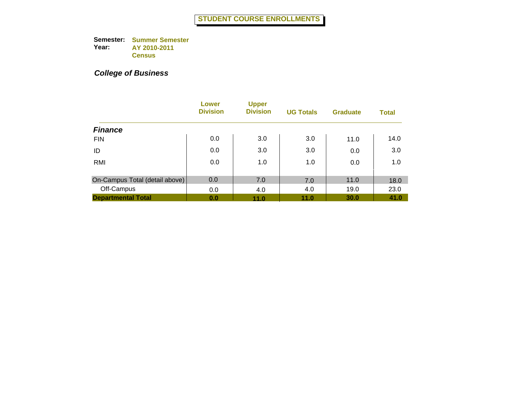|                                | Lower<br><b>Division</b> | <b>Upper</b><br><b>Division</b> | <b>UG Totals</b> | <b>Graduate</b> | <b>Total</b> |
|--------------------------------|--------------------------|---------------------------------|------------------|-----------------|--------------|
| <b>Finance</b>                 |                          |                                 |                  |                 |              |
| <b>FIN</b>                     | 0.0                      | 3.0                             | 3.0              | 11.0            | 14.0         |
| ID                             | 0.0                      | 3.0                             | 3.0              | 0.0             | 3.0          |
| RMI                            | 0.0                      | 1.0                             | 1.0              | 0.0             | 1.0          |
| On-Campus Total (detail above) | 0.0                      | 7.0                             | 7.0              | 11.0            | 18.0         |
| Off-Campus                     | 0.0                      | 4.0                             | 4.0              | 19.0            | 23.0         |
| <b>Departmental Total</b>      | 0.0                      | 11.0                            | 11.0             | 30.0            | 41.0         |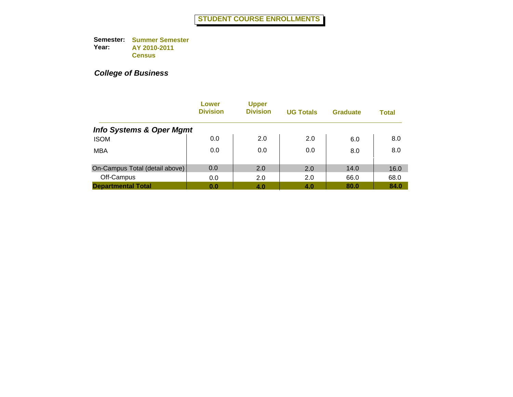|                                     | Lower<br><b>Division</b> | <b>Upper</b><br><b>Division</b> | <b>UG Totals</b> | <b>Graduate</b> | <b>Total</b> |
|-------------------------------------|--------------------------|---------------------------------|------------------|-----------------|--------------|
| <b>Info Systems &amp; Oper Mgmt</b> |                          |                                 |                  |                 |              |
| <b>ISOM</b>                         | 0.0                      | 2.0                             | 2.0              | 6.0             | 8.0          |
| <b>MBA</b>                          | 0.0                      | 0.0                             | 0.0              | 8.0             | 8.0          |
| On-Campus Total (detail above)      | 0.0                      | 2.0                             | 2.0              | 14.0            | 16.0         |
| Off-Campus                          | 0.0                      | 2.0                             | 2.0              | 66.0            | 68.0         |
| <b>Departmental Total</b>           | 0.0                      | 4.0                             | 4.0              | 80.0            | 84.0         |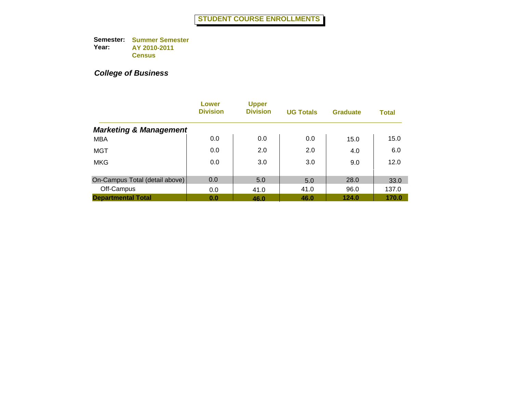|                                   | Lower<br><b>Division</b> | <b>Upper</b><br><b>Division</b> | <b>UG Totals</b> | <b>Graduate</b> | <b>Total</b> |
|-----------------------------------|--------------------------|---------------------------------|------------------|-----------------|--------------|
| <b>Marketing &amp; Management</b> |                          |                                 |                  |                 |              |
| <b>MBA</b>                        | 0.0                      | 0.0                             | 0.0              | 15.0            | 15.0         |
| MGT                               | 0.0                      | 2.0                             | 2.0              | 4.0             | 6.0          |
| <b>MKG</b>                        | 0.0                      | 3.0                             | 3.0              | 9.0             | 12.0         |
| On-Campus Total (detail above)    | 0.0                      | 5.0                             | 5.0              | 28.0            | 33.0         |
| Off-Campus                        | 0.0                      | 41.0                            | 41.0             | 96.0            | 137.0        |
| <b>Departmental Total</b>         | 0.0                      | 46.0                            | 46.0             | 124.0           | 170.0        |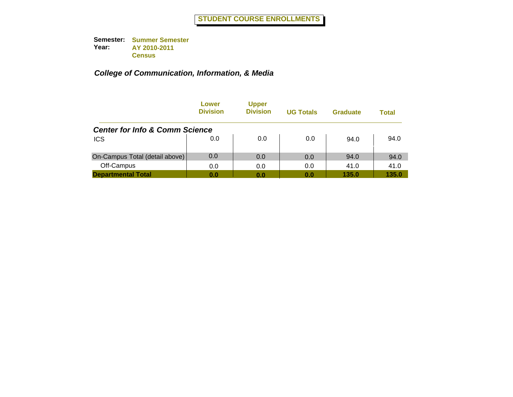|                                           | Lower<br><b>Division</b> | <b>Upper</b><br><b>Division</b> | <b>UG Totals</b> | <b>Graduate</b> | Total |
|-------------------------------------------|--------------------------|---------------------------------|------------------|-----------------|-------|
| <b>Center for Info &amp; Comm Science</b> |                          |                                 |                  |                 |       |
| <b>ICS</b>                                | 0.0                      | 0.0                             | 0.0              | 94.0            | 94.0  |
| On-Campus Total (detail above)            | 0.0                      | 0.0                             | 0.0              | 94.0            | 94.0  |
| Off-Campus                                | 0.0                      | 0.0                             | 0.0              | 41.0            | 41.0  |
| <b>Departmental Total</b>                 | 0.0                      | 0.0                             | 0.0              | 135.0           | 135.0 |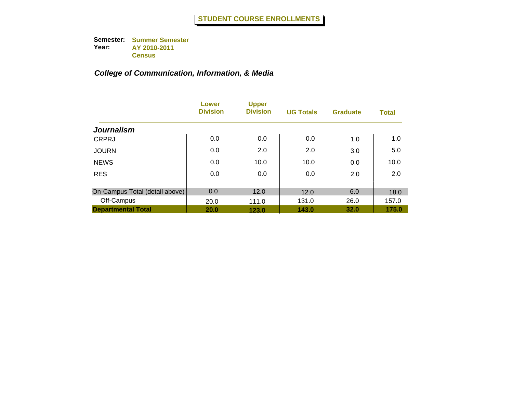|                                | Lower<br><b>Division</b> | <b>Upper</b><br><b>Division</b> | <b>UG Totals</b> | <b>Graduate</b> | <b>Total</b> |
|--------------------------------|--------------------------|---------------------------------|------------------|-----------------|--------------|
| <b>Journalism</b>              |                          |                                 |                  |                 |              |
| <b>CRPRJ</b>                   | 0.0                      | 0.0                             | 0.0              | 1.0             | 1.0          |
| <b>JOURN</b>                   | 0.0                      | 2.0                             | 2.0              | 3.0             | 5.0          |
| <b>NEWS</b>                    | 0.0                      | 10.0                            | 10.0             | 0.0             | 10.0         |
| <b>RES</b>                     | 0.0                      | 0.0                             | 0.0              | 2.0             | 2.0          |
| On-Campus Total (detail above) | 0.0                      | 12.0                            | 12.0             | 6.0             | 18.0         |
| Off-Campus                     | 20.0                     | 111.0                           | 131.0            | 26.0            | 157.0        |
| <b>Departmental Total</b>      | 20.0                     | 123.0                           | 143.0            | 32.0            | 175.0        |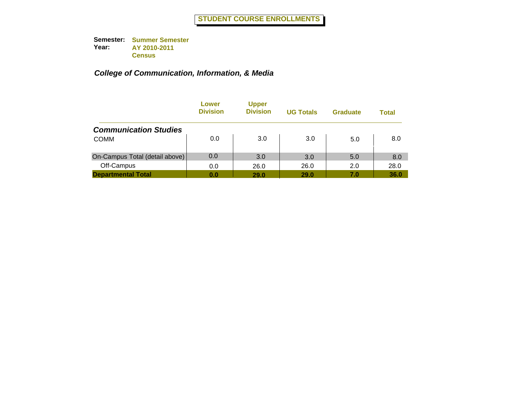|                                | Lower<br><b>Division</b> | <b>Upper</b><br><b>Division</b> | <b>UG Totals</b> | <b>Graduate</b> | Total |
|--------------------------------|--------------------------|---------------------------------|------------------|-----------------|-------|
| <b>Communication Studies</b>   |                          |                                 |                  |                 |       |
| <b>COMM</b>                    | 0.0                      | 3.0                             | 3.0              | 5.0             | 8.0   |
| On-Campus Total (detail above) | 0.0                      | 3.0                             | 3.0              | 5.0             | 8.0   |
| Off-Campus                     | 0.0                      | 26.0                            | 26.0             | 2.0             | 28.0  |
| <b>Departmental Total</b>      | 0.0                      | 29.0                            | 29.0             | 7.0             | 36.0  |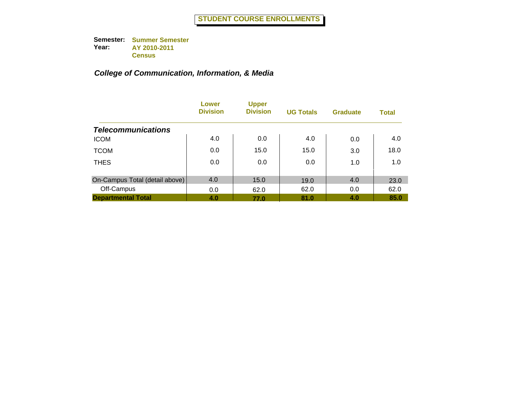|                                | Lower<br><b>Division</b> | <b>Upper</b><br><b>Division</b> | <b>UG Totals</b> | <b>Graduate</b> | <b>Total</b> |
|--------------------------------|--------------------------|---------------------------------|------------------|-----------------|--------------|
| <b>Telecommunications</b>      |                          |                                 |                  |                 |              |
| <b>ICOM</b>                    | 4.0                      | 0.0                             | 4.0              | 0.0             | 4.0          |
| <b>TCOM</b>                    | 0.0                      | 15.0                            | 15.0             | 3.0             | 18.0         |
| <b>THES</b>                    | 0.0                      | 0.0                             | 0.0              | 1.0             | 1.0          |
| On-Campus Total (detail above) | 4.0                      | 15.0                            | 19.0             | 4.0             | 23.0         |
| Off-Campus                     | 0.0                      | 62.0                            | 62.0             | 0.0             | 62.0         |
| <b>Departmental Total</b>      | 4.0                      | 77.0                            | 81.0             | 4.0             | 85.0         |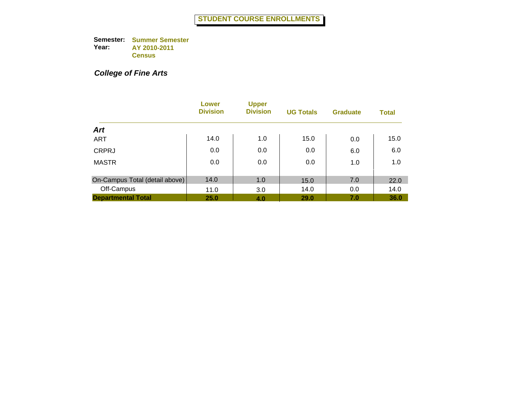## *College of Fine Arts*

|                                | <b>Lower</b><br><b>Division</b> | <b>Upper</b><br><b>Division</b> | <b>UG Totals</b> | <b>Graduate</b> | <b>Total</b> |
|--------------------------------|---------------------------------|---------------------------------|------------------|-----------------|--------------|
| <b>Art</b>                     |                                 |                                 |                  |                 |              |
| <b>ART</b>                     | 14.0                            | 1.0                             | 15.0             | 0.0             | 15.0         |
| <b>CRPRJ</b>                   | 0.0                             | 0.0                             | 0.0              | 6.0             | 6.0          |
| <b>MASTR</b>                   | 0.0                             | 0.0                             | 0.0              | 1.0             | 1.0          |
| On-Campus Total (detail above) | 14.0                            | 1.0                             | 15.0             | 7.0             | 22.0         |
| Off-Campus                     | 11.0                            | 3.0                             | 14.0             | 0.0             | 14.0         |
| <b>Departmental Total</b>      | 25.0                            | 4.0                             | <b>29.0</b>      | 7.0             | 36.0         |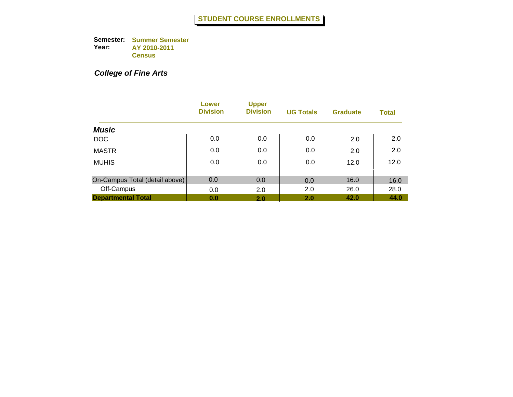## *College of Fine Arts*

|                                | Lower<br><b>Division</b> | <b>Upper</b><br><b>Division</b> | <b>UG Totals</b> | <b>Graduate</b> | <b>Total</b> |
|--------------------------------|--------------------------|---------------------------------|------------------|-----------------|--------------|
| <b>Music</b>                   |                          |                                 |                  |                 |              |
| <b>DOC</b>                     | 0.0                      | 0.0                             | 0.0              | 2.0             | 2.0          |
| <b>MASTR</b>                   | 0.0                      | 0.0                             | 0.0              | 2.0             | 2.0          |
| <b>MUHIS</b>                   | 0.0                      | 0.0                             | 0.0              | 12.0            | 12.0         |
| On-Campus Total (detail above) | 0.0                      | 0.0                             | 0.0              | 16.0            | 16.0         |
| Off-Campus                     | 0.0                      | 2.0                             | 2.0              | 26.0            | 28.0         |
| <b>Departmental Total</b>      | 0.0                      | 2.0                             | 2.0              | 42.0            | 44.0         |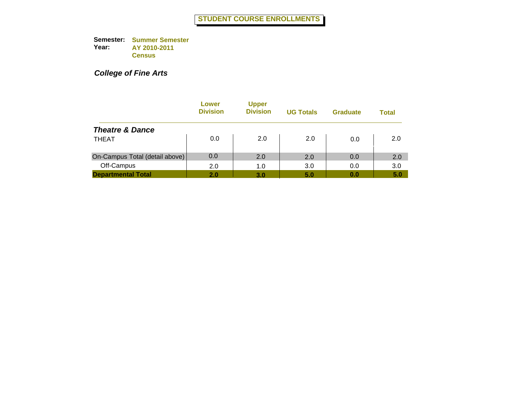*College of Fine Arts*

|                                | Lower<br><b>Division</b> | <b>Upper</b><br><b>Division</b> | <b>UG Totals</b> | <b>Graduate</b> | Total |
|--------------------------------|--------------------------|---------------------------------|------------------|-----------------|-------|
| <b>Theatre &amp; Dance</b>     |                          |                                 |                  |                 |       |
| <b>THEAT</b>                   | 0.0                      | 2.0                             | 2.0              | 0.0             | 2.0   |
| On-Campus Total (detail above) | 0.0                      | 2.0                             | 2.0              | 0.0             | 2.0   |
| Off-Campus                     | 2.0                      | 1.0                             | 3.0              | 0.0             | 3.0   |
| <b>Departmental Total</b>      | 2.0                      | 3.0                             | 5.0              | 0.0             | 5.0   |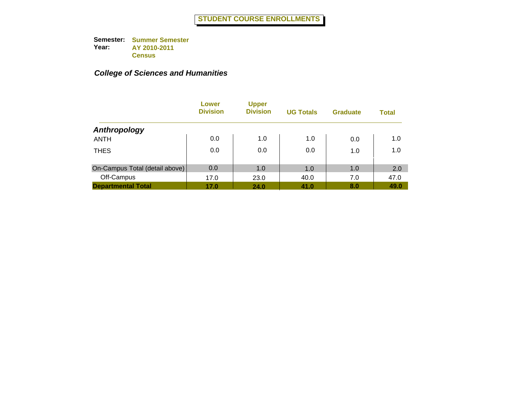|                                | Lower<br><b>Division</b> | <b>Upper</b><br><b>Division</b> | <b>UG Totals</b> | <b>Graduate</b> | <b>Total</b> |
|--------------------------------|--------------------------|---------------------------------|------------------|-----------------|--------------|
| Anthropology                   |                          |                                 |                  |                 |              |
| <b>ANTH</b>                    | 0.0                      | 1.0                             | 1.0              | 0.0             | 1.0          |
| <b>THES</b>                    | 0.0                      | 0.0                             | 0.0              | 1.0             | 1.0          |
| On-Campus Total (detail above) | 0.0                      | 1.0                             | 1.0              | 1.0             | 2.0          |
| Off-Campus                     | 17.0                     | 23.0                            | 40.0             | 7.0             | 47.0         |
| <b>Departmental Total</b>      | 17.0                     | 24.0                            | 41.0             | 8.0             | 49.0         |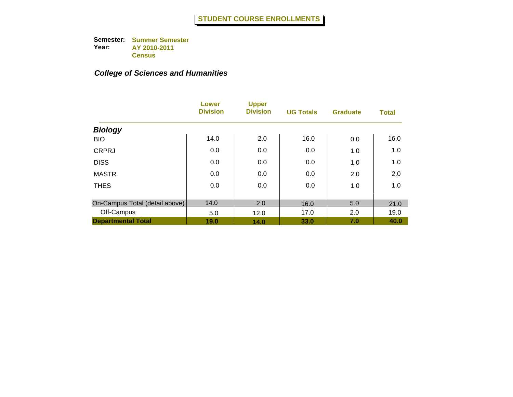|                                | Lower<br><b>Division</b> | <b>Upper</b><br><b>Division</b> | <b>UG Totals</b> | <b>Graduate</b> | <b>Total</b> |
|--------------------------------|--------------------------|---------------------------------|------------------|-----------------|--------------|
| <b>Biology</b>                 |                          |                                 |                  |                 |              |
| <b>BIO</b>                     | 14.0                     | 2.0                             | 16.0             | 0.0             | 16.0         |
| <b>CRPRJ</b>                   | 0.0                      | 0.0                             | 0.0              | 1.0             | 1.0          |
| <b>DISS</b>                    | 0.0                      | 0.0                             | 0.0              | 1.0             | 1.0          |
| <b>MASTR</b>                   | 0.0                      | 0.0                             | 0.0              | 2.0             | 2.0          |
| <b>THES</b>                    | 0.0                      | 0.0                             | 0.0              | 1.0             | 1.0          |
| On-Campus Total (detail above) | 14.0                     | 2.0                             | 16.0             | 5.0             | 21.0         |
| Off-Campus                     | 5.0                      | 12.0                            | 17.0             | 2.0             | 19.0         |
| <b>Departmental Total</b>      | 19.0                     | 14.0                            | 33.0             | 7.0             | 40.0         |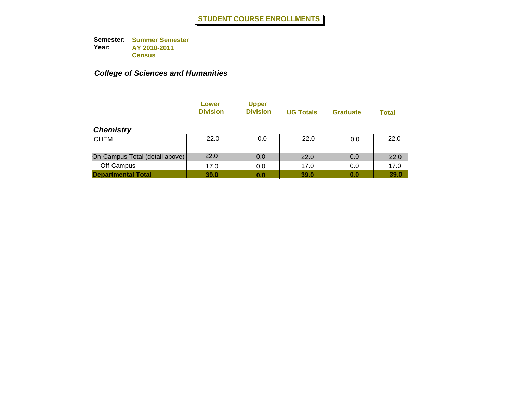|                                | Lower<br><b>Division</b> | <b>Upper</b><br><b>Division</b> | <b>UG Totals</b> | <b>Graduate</b> | <b>Total</b> |
|--------------------------------|--------------------------|---------------------------------|------------------|-----------------|--------------|
| <b>Chemistry</b>               |                          |                                 |                  |                 |              |
| <b>CHEM</b>                    | 22.0                     | 0.0                             | 22.0             | 0.0             | 22.0         |
| On-Campus Total (detail above) | 22.0                     | 0.0                             | 22.0             | 0.0             | 22.0         |
| Off-Campus                     | 17.0                     | 0.0                             | 17.0             | 0.0             | 17.0         |
| <b>Departmental Total</b>      | 39.0                     | 0.0                             | 39.0             | 0.0             | 39.0         |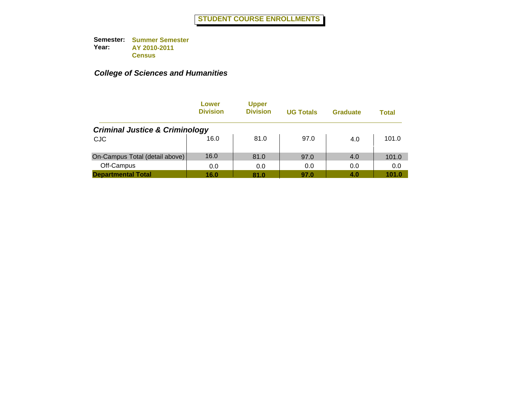|                                           | Lower<br><b>Division</b> | <b>Upper</b><br><b>Division</b> | <b>UG Totals</b> | <b>Graduate</b> | Total |
|-------------------------------------------|--------------------------|---------------------------------|------------------|-----------------|-------|
| <b>Criminal Justice &amp; Criminology</b> |                          |                                 |                  |                 |       |
| <b>CJC</b>                                | 16.0                     | 81.0                            | 97.0             | 4.0             | 101.0 |
| On-Campus Total (detail above)            | 16.0                     | 81.0                            | 97.0             | 4.0             | 101.0 |
| Off-Campus                                | 0.0                      | 0.0                             | 0.0              | 0.0             | 0.0   |
| <b>Departmental Total</b>                 | 16.0                     | 81.0                            | 97.0             | 4.0             | 101.0 |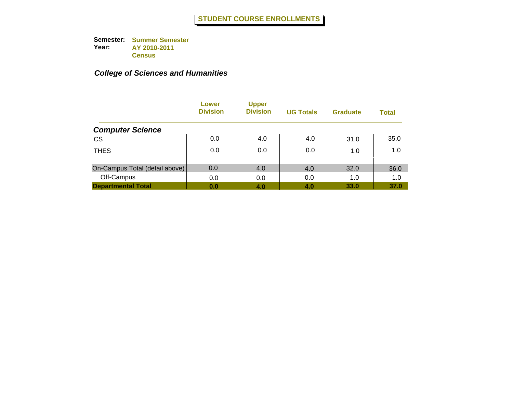|                                | Lower<br><b>Division</b> | <b>Upper</b><br><b>Division</b> | <b>UG Totals</b> | <b>Graduate</b> | <b>Total</b> |
|--------------------------------|--------------------------|---------------------------------|------------------|-----------------|--------------|
| <b>Computer Science</b>        |                          |                                 |                  |                 |              |
| <b>CS</b>                      | 0.0                      | 4.0                             | 4.0              | 31.0            | 35.0         |
| <b>THES</b>                    | 0.0                      | 0.0                             | 0.0              | 1.0             | 1.0          |
| On-Campus Total (detail above) | 0.0                      | 4.0                             | 4.0              | 32.0            | 36.0         |
| Off-Campus                     | 0.0                      | 0.0                             | 0.0              | 1.0             | 1.0          |
| <b>Departmental Total</b>      | 0.0                      | 4.0                             | 4.0              | 33.0            | 37.0         |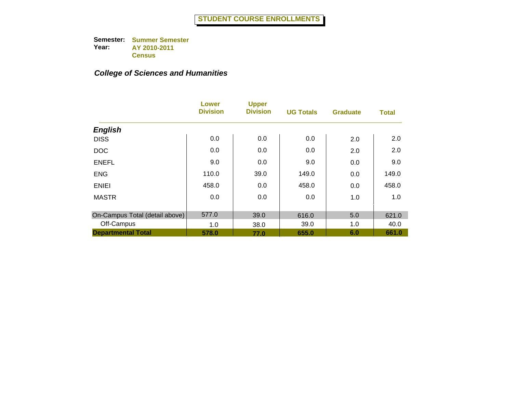|                                | <b>Lower</b><br><b>Division</b> | <b>Upper</b><br><b>Division</b> | <b>UG Totals</b> | <b>Graduate</b> | <b>Total</b> |
|--------------------------------|---------------------------------|---------------------------------|------------------|-----------------|--------------|
| <b>English</b>                 |                                 |                                 |                  |                 |              |
| <b>DISS</b>                    | 0.0                             | 0.0                             | 0.0              | 2.0             | 2.0          |
| <b>DOC</b>                     | 0.0                             | 0.0                             | 0.0              | 2.0             | 2.0          |
| <b>ENEFL</b>                   | 9.0                             | 0.0                             | 9.0              | 0.0             | 9.0          |
| <b>ENG</b>                     | 110.0                           | 39.0                            | 149.0            | 0.0             | 149.0        |
| <b>ENIEI</b>                   | 458.0                           | 0.0                             | 458.0            | 0.0             | 458.0        |
| <b>MASTR</b>                   | 0.0                             | 0.0                             | 0.0              | 1.0             | 1.0          |
| On-Campus Total (detail above) | 577.0                           | 39.0                            | 616.0            | 5.0             | 621.0        |
| Off-Campus                     | 1.0                             | 38.0                            | 39.0             | 1.0             | 40.0         |
| <b>Departmental Total</b>      | 578.0                           | 77.0                            | 655.0            | 6.0             | 661.0        |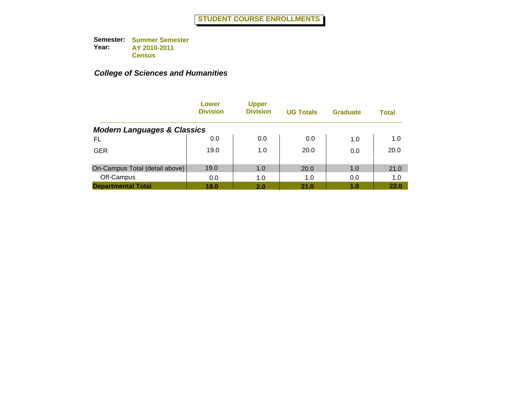|                                        | Lower<br><b>Division</b> | <b>Upper</b><br><b>Division</b> | <b>UG Totals</b> | <b>Graduate</b> | <b>Total</b> |
|----------------------------------------|--------------------------|---------------------------------|------------------|-----------------|--------------|
| <b>Modern Languages &amp; Classics</b> |                          |                                 |                  |                 |              |
| FL                                     | 0.0                      | 0.0                             | 0.0              | 1.0             | 1.0          |
| <b>GER</b>                             | 19.0                     | 1.0                             | 20.0             | 0.0             | 20.0         |
| On-Campus Total (detail above)         | 19.0                     | 1.0                             | 20.0             | 1.0             | 21.0         |
| Off-Campus                             | 0.0                      | 1.0                             | 1.0              | 0.0             | 1.0          |
| <b>Departmental Total</b>              | 19.0                     | 2.0                             | 21.0             | 1.0             | 22.0         |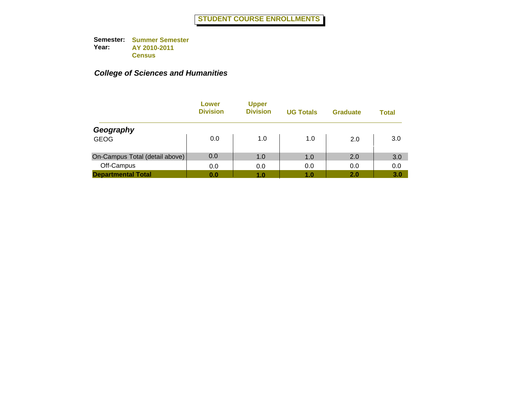|                                | Lower<br><b>Division</b> | <b>Upper</b><br><b>Division</b> | <b>UG Totals</b> | <b>Graduate</b> | Total |
|--------------------------------|--------------------------|---------------------------------|------------------|-----------------|-------|
| Geography                      |                          |                                 |                  |                 |       |
| <b>GEOG</b>                    | 0.0                      | 1.0                             | 1.0              | 2.0             | 3.0   |
| On-Campus Total (detail above) | 0.0                      | 1.0                             | 1.0              | 2.0             | 3.0   |
| Off-Campus                     | 0.0                      | 0.0                             | 0.0              | 0.0             | 0.0   |
| <b>Departmental Total</b>      | 0.0                      | 1.0                             | 1.0              | 2.0             | 3.0   |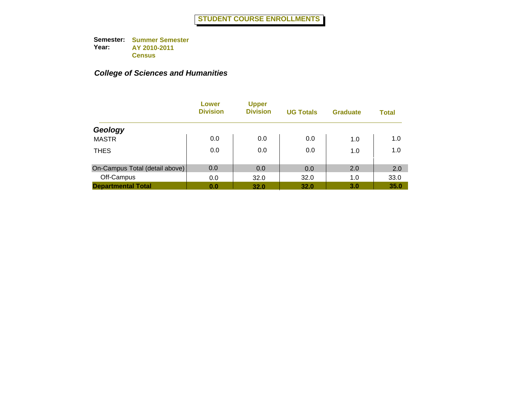|                                | Lower<br><b>Division</b> | <b>Upper</b><br><b>Division</b> | <b>UG Totals</b> | <b>Graduate</b> | <b>Total</b> |
|--------------------------------|--------------------------|---------------------------------|------------------|-----------------|--------------|
| Geology                        |                          |                                 |                  |                 |              |
| <b>MASTR</b>                   | 0.0                      | 0.0                             | 0.0              | 1.0             | 1.0          |
| <b>THES</b>                    | 0.0                      | 0.0                             | 0.0              | 1.0             | 1.0          |
| On-Campus Total (detail above) | 0.0                      | 0.0                             | 0.0              | 2.0             | 2.0          |
| Off-Campus                     | 0.0                      | 32.0                            | 32.0             | 1.0             | 33.0         |
| <b>Departmental Total</b>      | 0.0                      | 32.0                            | 32.0             | 3.0             | 35.0         |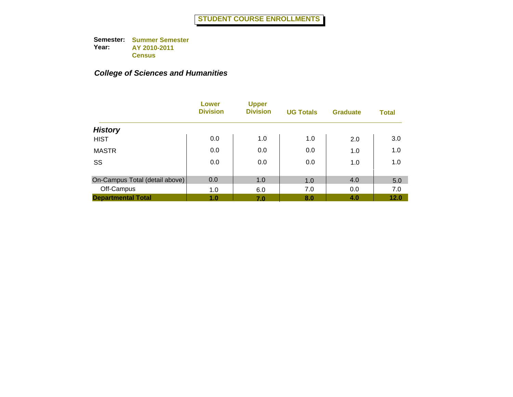|                                | Lower<br><b>Division</b> | <b>Upper</b><br><b>Division</b> | <b>UG Totals</b> | <b>Graduate</b> | <b>Total</b> |
|--------------------------------|--------------------------|---------------------------------|------------------|-----------------|--------------|
| <b>History</b>                 |                          |                                 |                  |                 |              |
| <b>HIST</b>                    | 0.0                      | 1.0                             | 1.0              | 2.0             | 3.0          |
| <b>MASTR</b>                   | 0.0                      | 0.0                             | 0.0              | 1.0             | 1.0          |
| SS                             | 0.0                      | 0.0                             | 0.0              | 1.0             | 1.0          |
| On-Campus Total (detail above) | 0.0                      | 1.0                             | 1.0              | 4.0             | 5.0          |
| Off-Campus                     | 1.0                      | 6.0                             | 7.0              | 0.0             | 7.0          |
| <b>Departmental Total</b>      | 1.0                      | 7.0                             | 8.0              | 4.0             | 12.0         |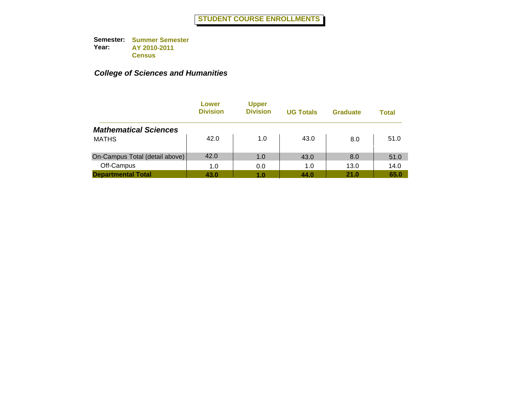|                                | Lower<br><b>Division</b> | <b>Upper</b><br><b>Division</b> | <b>UG Totals</b> | <b>Graduate</b> | Total |
|--------------------------------|--------------------------|---------------------------------|------------------|-----------------|-------|
| <b>Mathematical Sciences</b>   |                          |                                 |                  |                 |       |
| <b>MATHS</b>                   | 42.0                     | 1.0                             | 43.0             | 8.0             | 51.0  |
| On-Campus Total (detail above) | 42.0                     | 1.0                             | 43.0             | 8.0             | 51.0  |
| Off-Campus                     | 1.0                      | 0.0                             | 1.0              | 13.0            | 14.0  |
| <b>Departmental Total</b>      | 43.0                     | 1.0                             | 44.0             | 21.0            | 65.0  |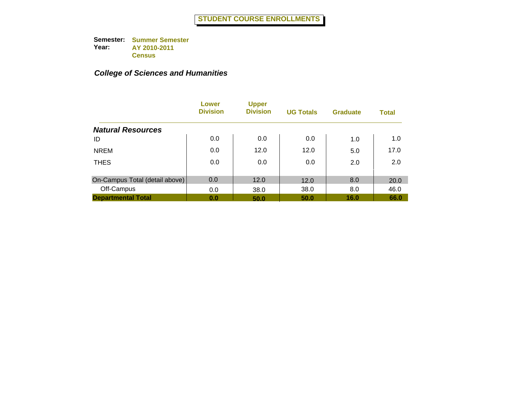|                                | Lower<br><b>Division</b> | <b>Upper</b><br><b>Division</b> | <b>UG Totals</b> | <b>Graduate</b> | <b>Total</b> |
|--------------------------------|--------------------------|---------------------------------|------------------|-----------------|--------------|
| <b>Natural Resources</b>       |                          |                                 |                  |                 |              |
| ID                             | 0.0                      | 0.0                             | 0.0              | 1.0             | 1.0          |
| <b>NREM</b>                    | 0.0                      | 12.0                            | 12.0             | 5.0             | 17.0         |
| <b>THES</b>                    | 0.0                      | 0.0                             | 0.0              | 2.0             | 2.0          |
| On-Campus Total (detail above) | 0.0                      | 12.0                            | 12.0             | 8.0             | 20.0         |
| Off-Campus                     | 0.0                      | 38.0                            | 38.0             | 8.0             | 46.0         |
| <b>Departmental Total</b>      | 0.0                      | 50.0                            | 50.0             | 16.0            | 66.0         |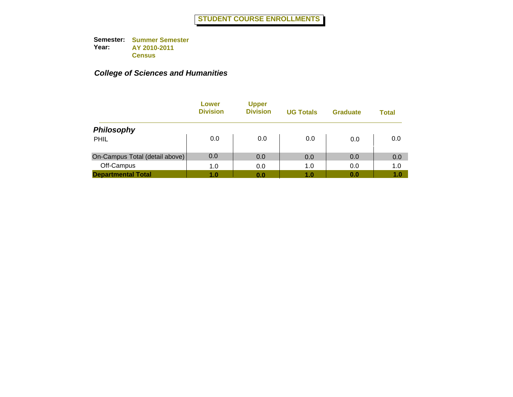|                                | Lower<br><b>Division</b> | <b>Upper</b><br><b>Division</b> | <b>UG Totals</b> | <b>Graduate</b> | Total |
|--------------------------------|--------------------------|---------------------------------|------------------|-----------------|-------|
| <b>Philosophy</b>              |                          |                                 |                  |                 |       |
| <b>PHIL</b>                    | 0.0                      | 0.0                             | 0.0              | 0.0             | 0.0   |
| On-Campus Total (detail above) | 0.0                      | 0.0                             | 0.0              | 0.0             | 0.0   |
| Off-Campus                     | 1.0                      | 0.0                             | 1.0              | 0.0             | 1.0   |
| <b>Departmental Total</b>      | 1.0                      | 0.0                             | 1.0              | 0.0             | 1.0   |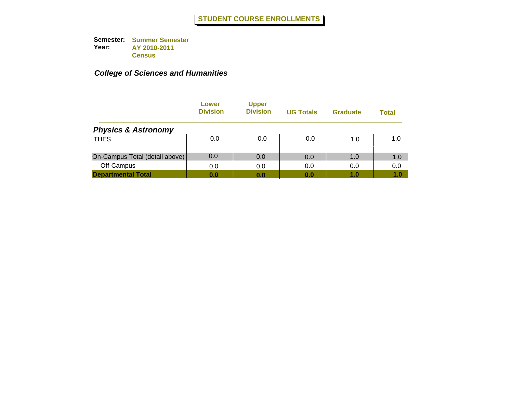|                                | Lower<br><b>Division</b> | <b>Upper</b><br><b>Division</b> | <b>UG Totals</b> | <b>Graduate</b> | Total |
|--------------------------------|--------------------------|---------------------------------|------------------|-----------------|-------|
| <b>Physics &amp; Astronomy</b> |                          |                                 |                  |                 |       |
| <b>THES</b>                    | 0.0                      | 0.0                             | 0.0              | 1.0             | 1.0   |
| On-Campus Total (detail above) | 0.0                      | 0.0                             | 0.0              | 1.0             | 1.0   |
| Off-Campus                     | 0.0                      | 0.0                             | 0.0              | 0.0             | 0.0   |
| <b>Departmental Total</b>      | 0.0                      | 0.0                             | 0.0              | 1.0             | 1.0   |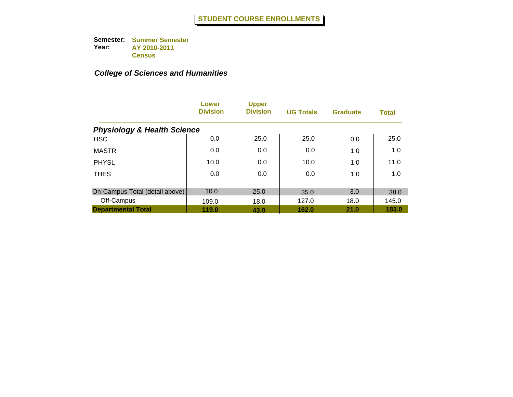|                                        | Lower<br><b>Division</b> | <b>Upper</b><br><b>Division</b> | <b>UG Totals</b> | <b>Graduate</b> | <b>Total</b> |
|----------------------------------------|--------------------------|---------------------------------|------------------|-----------------|--------------|
| <b>Physiology &amp; Health Science</b> |                          |                                 |                  |                 |              |
| <b>HSC</b>                             | 0.0                      | 25.0                            | 25.0             | 0.0             | 25.0         |
| <b>MASTR</b>                           | 0.0                      | 0.0                             | 0.0              | 1.0             | 1.0          |
| <b>PHYSL</b>                           | 10.0                     | 0.0                             | 10.0             | 1.0             | 11.0         |
| <b>THES</b>                            | 0.0                      | 0.0                             | 0.0              | 1.0             | 1.0          |
| On-Campus Total (detail above)         | 10.0                     | 25.0                            | 35.0             | 3.0             | 38.0         |
| Off-Campus                             | 109.0                    | 18.0                            | 127.0            | 18.0            | 145.0        |
| <b>Departmental Total</b>              | 119.0                    | 43.0                            | 162.0            | 21.0            | 183.0        |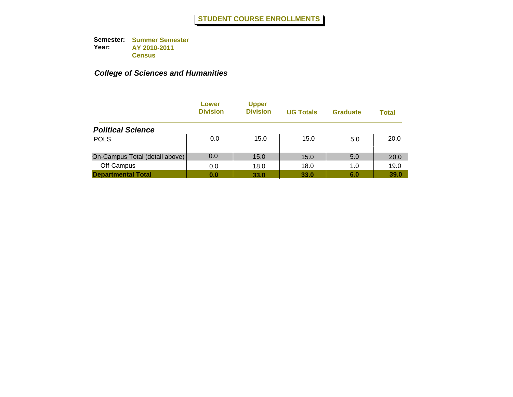|                                | Lower<br><b>Division</b> | <b>Upper</b><br><b>Division</b> | <b>UG Totals</b> | <b>Graduate</b> | <b>Total</b> |
|--------------------------------|--------------------------|---------------------------------|------------------|-----------------|--------------|
| <b>Political Science</b>       |                          |                                 |                  |                 |              |
| <b>POLS</b>                    | 0.0                      | 15.0                            | 15.0             | 5.0             | 20.0         |
| On-Campus Total (detail above) | 0.0                      | 15.0                            | 15.0             | 5.0             | 20.0         |
| Off-Campus                     | 0.0                      | 18.0                            | 18.0             | 1.0             | 19.0         |
| <b>Departmental Total</b>      | 0.0                      | 33.0                            | 33.0             | 6.0             | 39.0         |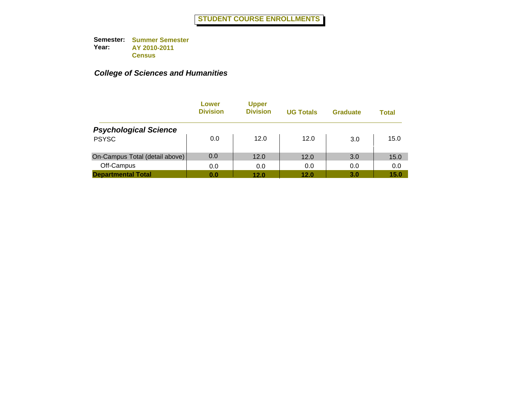|                                | Lower<br><b>Division</b> | <b>Upper</b><br><b>Division</b> | <b>UG Totals</b> | <b>Graduate</b> | Total |
|--------------------------------|--------------------------|---------------------------------|------------------|-----------------|-------|
| <b>Psychological Science</b>   |                          |                                 |                  |                 |       |
| <b>PSYSC</b>                   | 0.0                      | 12.0                            | 12.0             | 3.0             | 15.0  |
| On-Campus Total (detail above) | 0.0                      | 12.0                            | 12.0             | 3.0             | 15.0  |
| Off-Campus                     | 0.0                      | 0.0                             | 0.0              | 0.0             | 0.0   |
| <b>Departmental Total</b>      | 0.0                      | 12.0                            | 12.0             | 3.0             | 15.0  |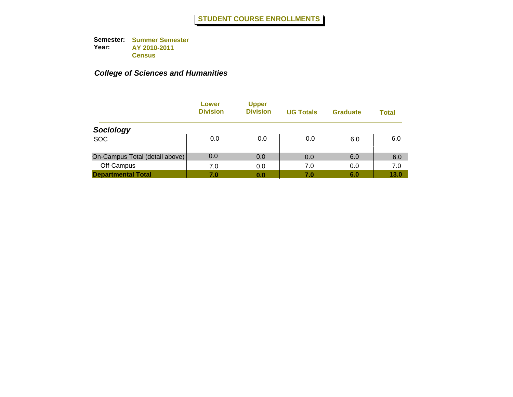|                                | Lower<br><b>Division</b> | <b>Upper</b><br><b>Division</b> | <b>UG Totals</b> | <b>Graduate</b> | Total |
|--------------------------------|--------------------------|---------------------------------|------------------|-----------------|-------|
| Sociology                      |                          |                                 |                  |                 |       |
| <b>SOC</b>                     | 0.0                      | 0.0                             | 0.0              | 6.0             | 6.0   |
| On-Campus Total (detail above) | 0.0                      | 0.0                             | 0.0              | 6.0             | 6.0   |
| Off-Campus                     | 7.0                      | 0.0                             | 7.0              | 0.0             | 7.0   |
| <b>Departmental Total</b>      | 7.0                      | 0.0                             | 7.0              | 6.0             | 13.0  |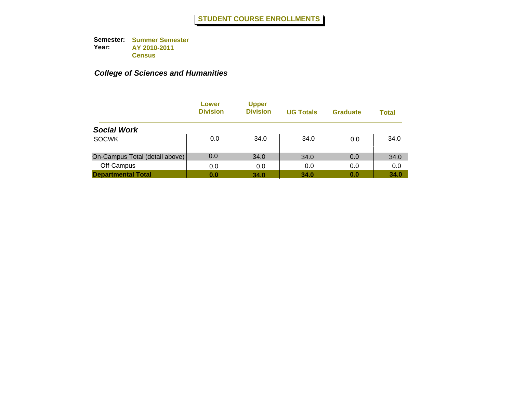|                                | Lower<br><b>Division</b> | <b>Upper</b><br><b>Division</b> | <b>UG Totals</b> | <b>Graduate</b> | <b>Total</b> |
|--------------------------------|--------------------------|---------------------------------|------------------|-----------------|--------------|
| <b>Social Work</b>             |                          |                                 |                  |                 |              |
| <b>SOCWK</b>                   | 0.0                      | 34.0                            | 34.0             | 0.0             | 34.0         |
| On-Campus Total (detail above) | 0.0                      | 34.0                            | 34.0             | 0.0             | 34.0         |
| Off-Campus                     | 0.0                      | 0.0                             | 0.0              | 0.0             | 0.0          |
| <b>Departmental Total</b>      | 0.0                      | 34.0                            | 34.0             | 0.0             | 34.0         |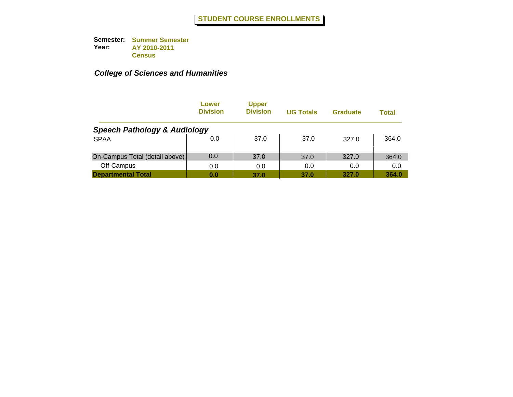|                                         | Lower<br><b>Division</b> | <b>Upper</b><br><b>Division</b> | <b>UG Totals</b> | <b>Graduate</b> | Total |
|-----------------------------------------|--------------------------|---------------------------------|------------------|-----------------|-------|
| <b>Speech Pathology &amp; Audiology</b> |                          |                                 |                  |                 |       |
| <b>SPAA</b>                             | 0.0                      | 37.0                            | 37.0             | 327.0           | 364.0 |
| On-Campus Total (detail above)          | 0.0                      | 37.0                            | 37.0             | 327.0           | 364.0 |
| Off-Campus                              | 0.0                      | 0.0                             | 0.0              | 0.0             | 0.0   |
| <b>Departmental Total</b>               | 0.0                      | 37.0                            | 37.0             | 327.0           | 364.0 |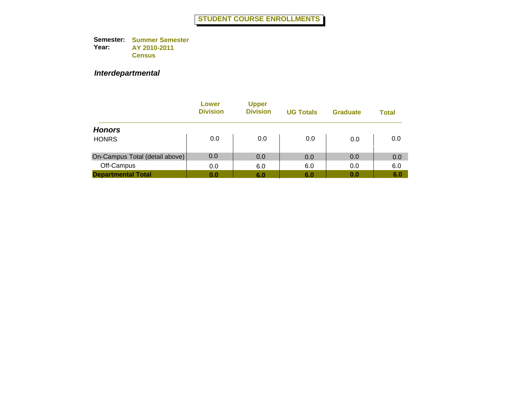### *Interdepartmental*

|                                | Lower<br><b>Division</b> | <b>Upper</b><br><b>Division</b> | <b>UG Totals</b> | <b>Graduate</b> | <b>Total</b> |
|--------------------------------|--------------------------|---------------------------------|------------------|-----------------|--------------|
| <b>Honors</b>                  |                          |                                 |                  |                 |              |
| <b>HONRS</b>                   | 0.0                      | 0.0                             | 0.0              | 0.0             | 0.0          |
| On-Campus Total (detail above) | 0.0                      | 0.0                             | 0.0              | 0.0             | 0.0          |
| Off-Campus                     | 0.0                      | 6.0                             | 6.0              | 0.0             | 6.0          |
| <b>Departmental Total</b>      | 0.0                      | 6.0                             | 6.0              | 0.0             | 6.0          |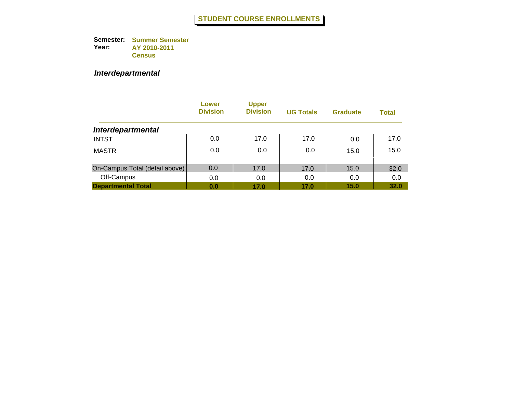### *Interdepartmental*

|                                | Lower<br><b>Division</b> | <b>Upper</b><br><b>Division</b> | <b>UG Totals</b> | <b>Graduate</b> | <b>Total</b> |
|--------------------------------|--------------------------|---------------------------------|------------------|-----------------|--------------|
| <b>Interdepartmental</b>       |                          |                                 |                  |                 |              |
| <b>INTST</b>                   | 0.0                      | 17.0                            | 17.0             | 0.0             | 17.0         |
| <b>MASTR</b>                   | 0.0                      | 0.0                             | 0.0              | 15.0            | 15.0         |
| On-Campus Total (detail above) | 0.0                      | 17.0                            | 17.0             | 15.0            | 32.0         |
| Off-Campus                     | 0.0                      | 0.0                             | 0.0              | 0.0             | 0.0          |
| <b>Departmental Total</b>      | 0.0                      | 17.0                            | 17.0             | 15.0            | 32.0         |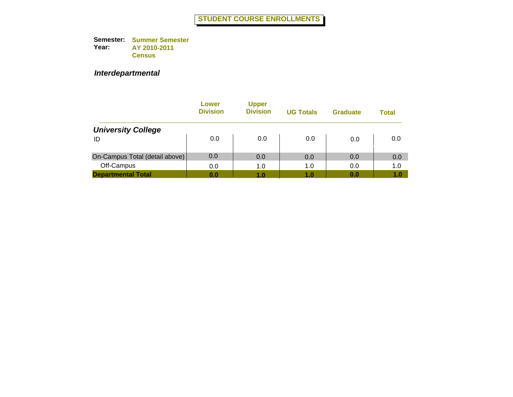### *Interdepartmental*

|                                | Lower<br><b>Division</b> | <b>Upper</b><br><b>Division</b> | <b>UG Totals</b> | <b>Graduate</b> | <b>Total</b> |
|--------------------------------|--------------------------|---------------------------------|------------------|-----------------|--------------|
| <b>University College</b>      |                          |                                 |                  |                 |              |
| ID                             | 0.0                      | 0.0                             | 0.0              | 0.0             | 0.0          |
| On-Campus Total (detail above) | 0.0                      | 0.0                             | 0.0              | 0.0             | 0.0          |
| Off-Campus                     | 0.0                      | 1.0                             | 1.0              | 0.0             | 1.0          |
| <b>Departmental Total</b>      | 0.0                      | 1.0                             | 1.0              | 0.0             | 1.0          |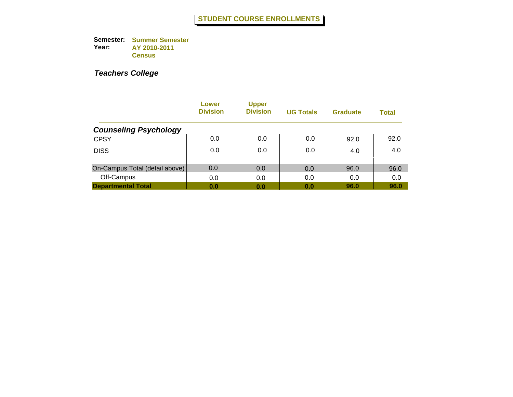|                                | Lower<br><b>Division</b> | <b>Upper</b><br><b>Division</b> | <b>UG Totals</b> | <b>Graduate</b> | <b>Total</b> |
|--------------------------------|--------------------------|---------------------------------|------------------|-----------------|--------------|
| <b>Counseling Psychology</b>   |                          |                                 |                  |                 |              |
| <b>CPSY</b>                    | 0.0                      | 0.0                             | 0.0              | 92.0            | 92.0         |
| <b>DISS</b>                    | 0.0                      | 0.0                             | 0.0              | 4.0             | 4.0          |
| On-Campus Total (detail above) | 0.0                      | 0.0                             | 0.0              | 96.0            | 96.0         |
| Off-Campus                     | 0.0                      | 0.0                             | 0.0              | 0.0             | 0.0          |
| <b>Departmental Total</b>      | 0.0                      | 0.0                             | 0.0              | 96.0            | 96.0         |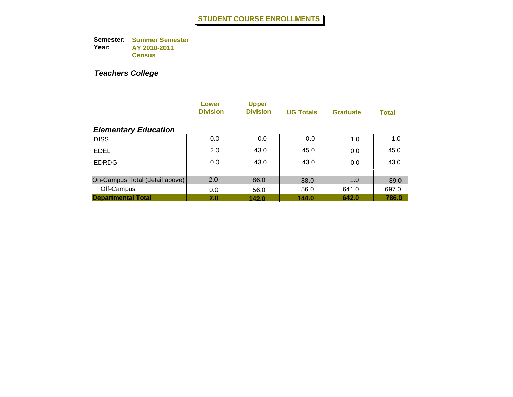|                                | Lower<br><b>Division</b> | <b>Upper</b><br><b>Division</b> | <b>UG Totals</b> | <b>Graduate</b> | <b>Total</b> |
|--------------------------------|--------------------------|---------------------------------|------------------|-----------------|--------------|
| <b>Elementary Education</b>    |                          |                                 |                  |                 |              |
| <b>DISS</b>                    | 0.0                      | 0.0                             | 0.0              | 1.0             | 1.0          |
| <b>EDEL</b>                    | 2.0                      | 43.0                            | 45.0             | 0.0             | 45.0         |
| <b>EDRDG</b>                   | 0.0                      | 43.0                            | 43.0             | 0.0             | 43.0         |
| On-Campus Total (detail above) | 2.0                      | 86.0                            | 88.0             | 1.0             | 89.0         |
| Off-Campus                     | 0.0                      | 56.0                            | 56.0             | 641.0           | 697.0        |
| <b>Departmental Total</b>      | 2.0                      | 142.0                           | 144.0            | 642.0           | 786.0        |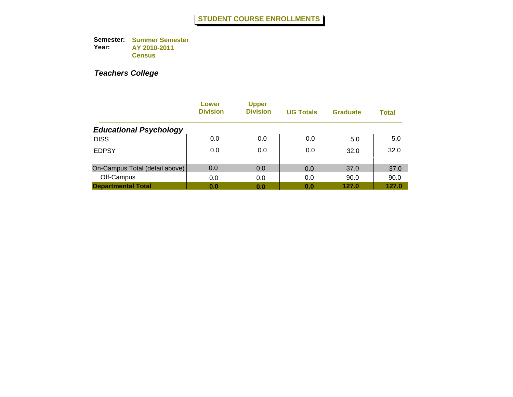|                                | Lower<br><b>Division</b> | <b>Upper</b><br><b>Division</b> | <b>UG Totals</b> | <b>Graduate</b> | <b>Total</b> |
|--------------------------------|--------------------------|---------------------------------|------------------|-----------------|--------------|
| <b>Educational Psychology</b>  |                          |                                 |                  |                 |              |
| <b>DISS</b>                    | 0.0                      | 0.0                             | 0.0              | 5.0             | 5.0          |
| <b>EDPSY</b>                   | 0.0                      | 0.0                             | 0.0              | 32.0            | 32.0         |
| On-Campus Total (detail above) | 0.0                      | 0.0                             | 0.0              | 37.0            | 37.0         |
| Off-Campus                     | 0.0                      | 0.0                             | 0.0              | 90.0            | 90.0         |
| <b>Departmental Total</b>      | 0.0                      | 0.0                             | 0.0              | 127.0           | 127.0        |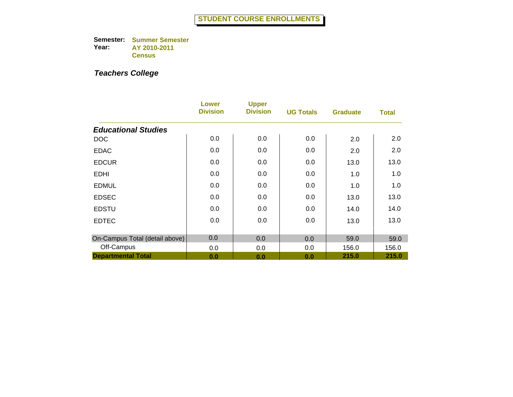|                                | Lower<br><b>Division</b> | <b>Upper</b><br><b>Division</b> | <b>UG Totals</b> | <b>Graduate</b> | <b>Total</b> |
|--------------------------------|--------------------------|---------------------------------|------------------|-----------------|--------------|
| <b>Educational Studies</b>     |                          |                                 |                  |                 |              |
| <b>DOC</b>                     | 0.0                      | 0.0                             | 0.0              | 2.0             | 2.0          |
| <b>EDAC</b>                    | 0.0                      | 0.0                             | 0.0              | 2.0             | 2.0          |
| <b>EDCUR</b>                   | 0.0                      | 0.0                             | 0.0              | 13.0            | 13.0         |
| <b>EDHI</b>                    | 0.0                      | 0.0                             | 0.0              | 1.0             | 1.0          |
| <b>EDMUL</b>                   | 0.0                      | 0.0                             | 0.0              | 1.0             | 1.0          |
| <b>EDSEC</b>                   | 0.0                      | 0.0                             | 0.0              | 13.0            | 13.0         |
| <b>EDSTU</b>                   | 0.0                      | 0.0                             | 0.0              | 14.0            | 14.0         |
| <b>EDTEC</b>                   | 0.0                      | 0.0                             | 0.0              | 13.0            | 13.0         |
| On-Campus Total (detail above) | 0.0                      | 0.0                             | 0.0              | 59.0            | 59.0         |
| Off-Campus                     | 0.0                      | 0.0                             | 0.0              | 156.0           | 156.0        |
| <b>Departmental Total</b>      | 0.0                      | 0.0                             | 0.0              | 215.0           | 215.0        |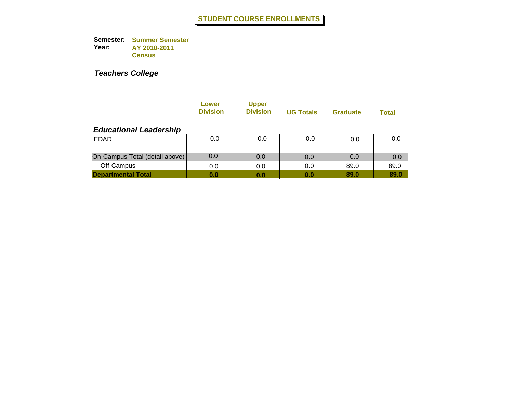|                                | Lower<br><b>Division</b> | <b>Upper</b><br><b>Division</b> | <b>UG Totals</b> | <b>Graduate</b> | Total |
|--------------------------------|--------------------------|---------------------------------|------------------|-----------------|-------|
| <b>Educational Leadership</b>  |                          |                                 |                  |                 |       |
| <b>EDAD</b>                    | 0.0                      | 0.0                             | 0.0              | 0.0             | 0.0   |
| On-Campus Total (detail above) | 0.0                      | 0.0                             | 0.0              | 0.0             | 0.0   |
| Off-Campus                     | 0.0                      | 0.0                             | 0.0              | 89.0            | 89.0  |
| <b>Departmental Total</b>      | 0.0                      | 0.0                             | 0.0              | 89.0            | 89.0  |